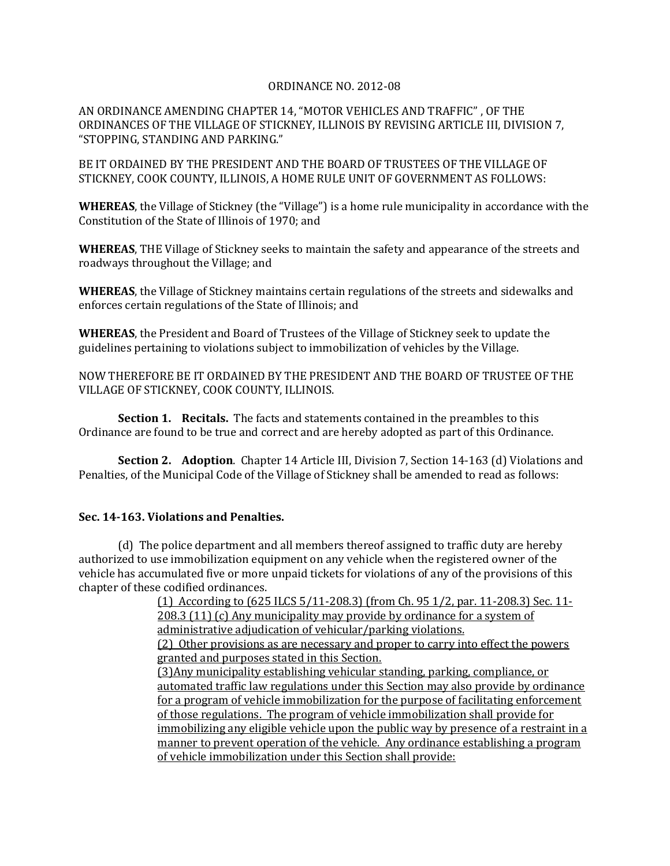## ORDINANCE NO. 2012-08

AN ORDINANCE AMENDING CHAPTER 14, "MOTOR VEHICLES AND TRAFFIC" , OF THE ORDINANCES OF THE VILLAGE OF STICKNEY, ILLINOIS BY REVISING ARTICLE III, DIVISION 7, "STOPPING, STANDING AND PARKING."

BE IT ORDAINED BY THE PRESIDENT AND THE BOARD OF TRUSTEES OF THE VILLAGE OF STICKNEY, COOK COUNTY, ILLINOIS, A HOME RULE UNIT OF GOVERNMENT AS FOLLOWS:

**WHEREAS**, the Village of Stickney (the "Village") is a home rule municipality in accordance with the Constitution of the State of Illinois of 1970; and

**WHEREAS**, THE Village of Stickney seeks to maintain the safety and appearance of the streets and roadways throughout the Village; and

**WHEREAS**, the Village of Stickney maintains certain regulations of the streets and sidewalks and enforces certain regulations of the State of Illinois; and

**WHEREAS**, the President and Board of Trustees of the Village of Stickney seek to update the guidelines pertaining to violations subject to immobilization of vehicles by the Village.

NOW THEREFORE BE IT ORDAINED BY THE PRESIDENT AND THE BOARD OF TRUSTEE OF THE VILLAGE OF STICKNEY, COOK COUNTY, ILLINOIS.

**Section 1. Recitals.** The facts and statements contained in the preambles to this Ordinance are found to be true and correct and are hereby adopted as part of this Ordinance.

**Section 2. Adoption**. Chapter 14 Article III, Division 7, Section 14-163 (d) Violations and Penalties, of the Municipal Code of the Village of Stickney shall be amended to read as follows:

## **Sec. 14-163. Violations and Penalties.**

(d) The police department and all members thereof assigned to traffic duty are hereby authorized to use immobilization equipment on any vehicle when the registered owner of the vehicle has accumulated five or more unpaid tickets for violations of any of the provisions of this chapter of these codified ordinances.

> (1) According to (625 ILCS 5/11-208.3) (from Ch. 95 1/2, par. 11-208.3) Sec. 11- 208.3 (11) (c) Any municipality may provide by ordinance for a system of administrative adjudication of vehicular/parking violations.

> (2) Other provisions as are necessary and proper to carry into effect the powers granted and purposes stated in this Section.

(3)Any municipality establishing vehicular standing, parking, compliance, or automated traffic law regulations under this Section may also provide by ordinance for a program of vehicle immobilization for the purpose of facilitating enforcement of those regulations. The program of vehicle immobilization shall provide for immobilizing any eligible vehicle upon the public way by presence of a restraint in a manner to prevent operation of the vehicle. Any ordinance establishing a program of vehicle immobilization under this Section shall provide: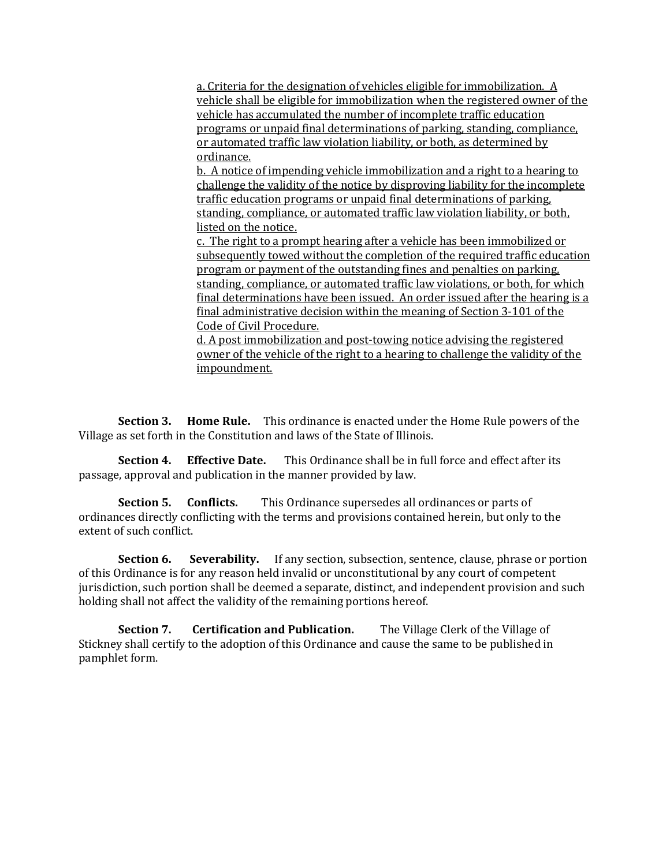a. Criteria for the designation of vehicles eligible for immobilization. A vehicle shall be eligible for immobilization when the registered owner of the vehicle has accumulated the number of incomplete traffic education programs or unpaid final determinations of parking, standing, compliance, or automated traffic law violation liability, or both, as determined by ordinance.

b. A notice of impending vehicle immobilization and a right to a hearing to challenge the validity of the notice by disproving liability for the incomplete traffic education programs or unpaid final determinations of parking, standing, compliance, or automated traffic law violation liability, or both, listed on the notice.

c. The right to a prompt hearing after a vehicle has been immobilized or subsequently towed without the completion of the required traffic education program or payment of the outstanding fines and penalties on parking, standing, compliance, or automated traffic law violations, or both, for which final determinations have been issued. An order issued after the hearing is a final administrative decision within the meaning of Section 3-101 of the Code of Civil Procedure.

d. A post immobilization and post-towing notice advising the registered owner of the vehicle of the right to a hearing to challenge the validity of the impoundment.

**Section 3. Home Rule.** This ordinance is enacted under the Home Rule powers of the Village as set forth in the Constitution and laws of the State of Illinois.

**Section 4. Effective Date.** This Ordinance shall be in full force and effect after its passage, approval and publication in the manner provided by law.

**Section 5. Conflicts.** This Ordinance supersedes all ordinances or parts of ordinances directly conflicting with the terms and provisions contained herein, but only to the extent of such conflict.

**Section 6.** Severability. If any section, subsection, sentence, clause, phrase or portion of this Ordinance is for any reason held invalid or unconstitutional by any court of competent jurisdiction, such portion shall be deemed a separate, distinct, and independent provision and such holding shall not affect the validity of the remaining portions hereof.

**Section 7. Certification and Publication.** The Village Clerk of the Village of Stickney shall certify to the adoption of this Ordinance and cause the same to be published in pamphlet form.